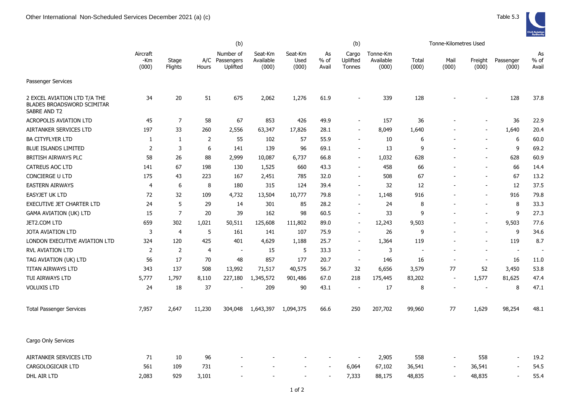|                                                                                   | (b)                      |                  |                |                                         |                               | (b)                      |                       |                             |                                | Tonne-Kilometres Used |                          |                          |                          |                          |
|-----------------------------------------------------------------------------------|--------------------------|------------------|----------------|-----------------------------------------|-------------------------------|--------------------------|-----------------------|-----------------------------|--------------------------------|-----------------------|--------------------------|--------------------------|--------------------------|--------------------------|
|                                                                                   | Aircraft<br>-Km<br>(000) | Stage<br>Flights | Hours          | Number of<br>A/C Passengers<br>Uplifted | Seat-Km<br>Available<br>(000) | Seat-Km<br>Used<br>(000) | As<br>$%$ of<br>Avail | Cargo<br>Uplifted<br>Tonnes | Tonne-Km<br>Available<br>(000) | Total<br>(000)        | Mail<br>(000)            | Freight<br>(000)         | Passenger<br>(000)       | As<br>% of<br>Avail      |
| Passenger Services                                                                |                          |                  |                |                                         |                               |                          |                       |                             |                                |                       |                          |                          |                          |                          |
| 2 EXCEL AVIATION LTD T/A THE<br><b>BLADES BROADSWORD SCIMITAR</b><br>SABRE AND T2 | 34                       | 20               | 51             | 675                                     | 2,062                         | 1,276                    | 61.9                  |                             | 339                            | 128                   |                          |                          | 128                      | 37.8                     |
| <b>ACROPOLIS AVIATION LTD</b>                                                     | 45                       | $\overline{7}$   | 58             | 67                                      | 853                           | 426                      | 49.9                  |                             | 157                            | 36                    |                          |                          | 36                       | 22.9                     |
| AIRTANKER SERVICES LTD                                                            | 197                      | 33               | 260            | 2,556                                   | 63,347                        | 17,826                   | 28.1                  | $\sim$                      | 8,049                          | 1,640                 |                          |                          | 1,640                    | 20.4                     |
| <b>BA CITYFLYER LTD</b>                                                           | 1                        | -1               | $\overline{2}$ | 55                                      | 102                           | 57                       | 55.9                  |                             | 10                             | 6                     |                          |                          | 6                        | 60.0                     |
| <b>BLUE ISLANDS LIMITED</b>                                                       | $\overline{2}$           | 3                | 6              | 141                                     | 139                           | 96                       | 69.1                  |                             | 13                             | q                     |                          |                          | 9                        | 69.2                     |
| BRITISH AIRWAYS PLC                                                               | 58                       | 26               | 88             | 2,999                                   | 10,087                        | 6,737                    | 66.8                  |                             | 1,032                          | 628                   |                          |                          | 628                      | 60.9                     |
| <b>CATREUS AOC LTD</b>                                                            | 141                      | 67               | 198            | 130                                     | 1,525                         | 660                      | 43.3                  |                             | 458                            | 66                    |                          |                          | 66                       | 14.4                     |
| CONCIERGE U LTD                                                                   | 175                      | 43               | 223            | 167                                     | 2,451                         | 785                      | 32.0                  |                             | 508                            | 67                    |                          |                          | 67                       | 13.2                     |
| <b>EASTERN AIRWAYS</b>                                                            | $\overline{4}$           | 6                | 8              | 180                                     | 315                           | 124                      | 39.4                  |                             | 32                             | 12                    |                          |                          | 12                       | 37.5                     |
| EASYJET UK LTD                                                                    | 72                       | 32               | 109            | 4,732                                   | 13,504                        | 10,777                   | 79.8                  |                             | 1,148                          | 916                   |                          |                          | 916                      | 79.8                     |
| <b>EXECUTIVE JET CHARTER LTD</b>                                                  | 24                       | 5                | 29             | 14                                      | 301                           | 85                       | 28.2                  |                             | 24                             | 8                     |                          |                          | 8                        | 33.3                     |
| <b>GAMA AVIATION (UK) LTD</b>                                                     | 15                       | $\overline{7}$   | 20             | 39                                      | 162                           | 98                       | 60.5                  |                             | 33                             | 9                     |                          |                          | 9                        | 27.3                     |
| JET2.COM LTD                                                                      | 659                      | 302              | 1,021          | 50,511                                  | 125,608                       | 111,802                  | 89.0                  |                             | 12,243                         | 9,503                 |                          |                          | 9,503                    | 77.6                     |
| <b>JOTA AVIATION LTD</b>                                                          | 3                        | 4                | 5              | 161                                     | 141                           | 107                      | 75.9                  |                             | 26                             | 9                     |                          |                          | 9                        | 34.6                     |
| LONDON EXECUTIVE AVIATION LTD                                                     | 324                      | 120              | 425            | 401                                     | 4,629                         | 1,188                    | 25.7                  |                             | 1,364                          | 119                   |                          |                          | 119                      | 8.7                      |
| <b>RVL AVIATION LTD</b>                                                           | $\overline{2}$           | $\overline{2}$   | $\overline{4}$ | $\blacksquare$                          | 15                            | 5                        | 33.3                  | $\sim$                      | 3                              | $\blacksquare$        |                          | $\overline{\phantom{a}}$ | $\overline{\phantom{a}}$ | $\overline{\phantom{a}}$ |
| TAG AVIATION (UK) LTD                                                             | 56                       | 17               | 70             | 48                                      | 857                           | 177                      | 20.7                  | $\overline{\phantom{a}}$    | 146                            | 16                    | $\overline{\phantom{a}}$ | $\overline{\phantom{a}}$ | 16                       | 11.0                     |
| TITAN AIRWAYS LTD                                                                 | 343                      | 137              | 508            | 13,992                                  | 71,517                        | 40,575                   | 56.7                  | 32                          | 6,656                          | 3,579                 | 77                       | 52                       | 3,450                    | 53.8                     |
| TUI AIRWAYS LTD                                                                   | 5,777                    | 1,797            | 8,110          | 227,180                                 | 1,345,572                     | 901,486                  | 67.0                  | 218                         | 175,445                        | 83,202                | $\overline{\phantom{a}}$ | 1,577                    | 81,625                   | 47.4                     |
| <b>VOLUXIS LTD</b>                                                                | 24                       | 18               | 37             |                                         | 209                           | 90                       | 43.1                  |                             | 17                             | 8                     | $\overline{a}$           | $\sim$                   | 8                        | 47.1                     |
| <b>Total Passenger Services</b>                                                   | 7,957                    | 2,647            | 11,230         | 304,048                                 | 1,643,397                     | 1,094,375                | 66.6                  | 250                         | 207,702                        | 99,960                | 77                       | 1,629                    | 98,254                   | 48.1                     |
| Cargo Only Services                                                               |                          |                  |                |                                         |                               |                          |                       |                             |                                |                       |                          |                          |                          |                          |
| AIRTANKER SERVICES LTD                                                            | 71                       | 10               | 96             |                                         |                               |                          |                       |                             | 2,905                          | 558                   |                          | 558                      | $\blacksquare$           | 19.2                     |
| CARGOLOGICAIR LTD                                                                 | 561                      | 109              | 731            |                                         |                               |                          |                       | 6,064                       | 67,102                         | 36,541                |                          | 36,541                   |                          | 54.5                     |
| DHL AIR LTD                                                                       | 2,083                    | 929              | 3,101          |                                         |                               |                          |                       | 7,333                       | 88,175                         | 48,835                |                          | 48,835                   |                          | 55.4                     |